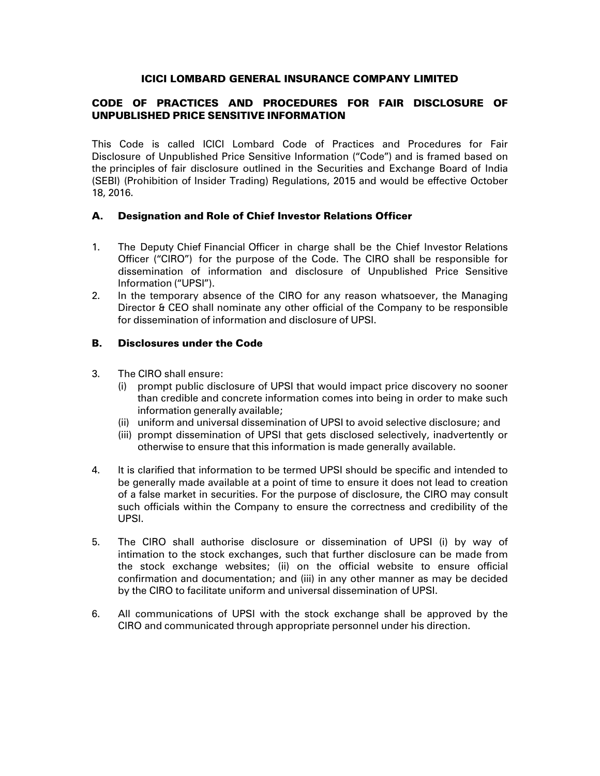### ICICI LOMBARD GENERAL INSURANCE COMPANY LIMITED

# CODE OF PRACTICES AND PROCEDURES FOR FAIR DISCLOSURE OF UNPUBLISHED PRICE SENSITIVE INFORMATION

This Code is called ICICI Lombard Code of Practices and Procedures for Fair Disclosure of Unpublished Price Sensitive Information ("Code") and is framed based on the principles of fair disclosure outlined in the Securities and Exchange Board of India (SEBI) (Prohibition of Insider Trading) Regulations, 2015 and would be effective October 18, 2016.

## A. Designation and Role of Chief Investor Relations Officer

- 1. The Deputy Chief Financial Officer in charge shall be the Chief Investor Relations Officer ("CIRO") for the purpose of the Code. The CIRO shall be responsible for dissemination of information and disclosure of Unpublished Price Sensitive Information ("UPSI").
- 2. In the temporary absence of the CIRO for any reason whatsoever, the Managing Director & CEO shall nominate any other official of the Company to be responsible for dissemination of information and disclosure of UPSI.

### B. Disclosures under the Code

- 3. The CIRO shall ensure:
	- (i) prompt public disclosure of UPSI that would impact price discovery no sooner than credible and concrete information comes into being in order to make such information generally available;
	- (ii) uniform and universal dissemination of UPSI to avoid selective disclosure; and
	- (iii) prompt dissemination of UPSI that gets disclosed selectively, inadvertently or otherwise to ensure that this information is made generally available.
- 4. It is clarified that information to be termed UPSI should be specific and intended to be generally made available at a point of time to ensure it does not lead to creation of a false market in securities. For the purpose of disclosure, the CIRO may consult such officials within the Company to ensure the correctness and credibility of the UPSI.
- 5. The CIRO shall authorise disclosure or dissemination of UPSI (i) by way of intimation to the stock exchanges, such that further disclosure can be made from the stock exchange websites; (ii) on the official website to ensure official confirmation and documentation; and (iii) in any other manner as may be decided by the CIRO to facilitate uniform and universal dissemination of UPSI.
- 6. All communications of UPSI with the stock exchange shall be approved by the CIRO and communicated through appropriate personnel under his direction.